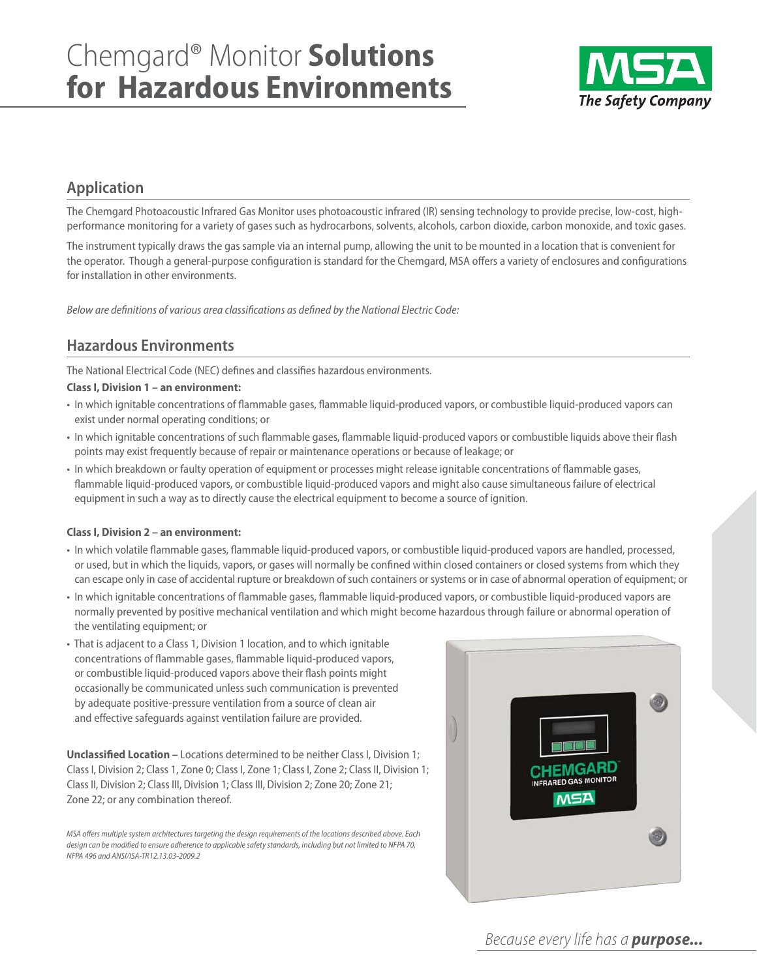

# **Application**

The Chemgard Photoacoustic Infrared Gas Monitor uses photoacoustic infrared (IR) sensing technology to provide precise, low-cost, highperformance monitoring for a variety of gases such as hydrocarbons, solvents, alcohols, carbon dioxide, carbon monoxide, and toxic gases.

The instrument typically draws the gas sample via an internal pump, allowing the unit to be mounted in a location that is convenient for the operator. Though a general-purpose configuration is standard for the Chemgard, MSA offers a variety of enclosures and configurations for installation in other environments.

Below are definitions of various area classifications as defined by the National Electric Code:

# **Hazardous Environments**

The National Electrical Code (NEC) defines and classifies hazardous environments.

### **Class I, Division 1 – an environment:**

- In which ignitable concentrations of flammable gases, flammable liquid-produced vapors, or combustible liquid-produced vapors can exist under normal operating conditions; or
- In which ignitable concentrations of such flammable gases, flammable liquid-produced vapors or combustible liquids above their flash points may exist frequently because of repair or maintenance operations or because of leakage; or
- In which breakdown or faulty operation of equipment or processes might release ignitable concentrations of flammable gases, flammable liquid-produced vapors, or combustible liquid-produced vapors and might also cause simultaneous failure of electrical equipment in such a way as to directly cause the electrical equipment to become a source of ignition.

#### **Class I, Division 2 – an environment:**

- In which volatile flammable gases, flammable liquid-produced vapors, or combustible liquid-produced vapors are handled, processed, or used, but in which the liquids, vapors, or gases will normally be confined within closed containers or closed systems from which they can escape only in case of accidental rupture or breakdown of such containers or systems or in case of abnormal operation of equipment; or
- In which ignitable concentrations of flammable gases, flammable liquid-produced vapors, or combustible liquid-produced vapors are normally prevented by positive mechanical ventilation and which might become hazardous through failure or abnormal operation of the ventilating equipment; or
- That is adjacent to a Class 1, Division 1 location, and to which ignitable concentrations of flammable gases, flammable liquid-produced vapors, or combustible liquid-produced vapors above their flash points might occasionally be communicated unless such communication is prevented by adequate positive-pressure ventilation from a source of clean air and effective safeguards against ventilation failure are provided.

**Unclassified Location –** Locations determined to be neither Class I, Division 1; Class I, Division 2; Class 1, Zone 0; Class I, Zone 1; Class I, Zone 2; Class II, Division 1; Class II, Division 2; Class III, Division 1; Class III, Division 2; Zone 20; Zone 21; Zone 22; or any combination thereof.

MSA offers multiple system architectures targeting the design requirements of the locations described above. Each design can be modified to ensure adherence to applicable safety standards, including but not limited to NFPA 70, NFPA 496 and ANSI/ISA-TR12.13.03-2009.2